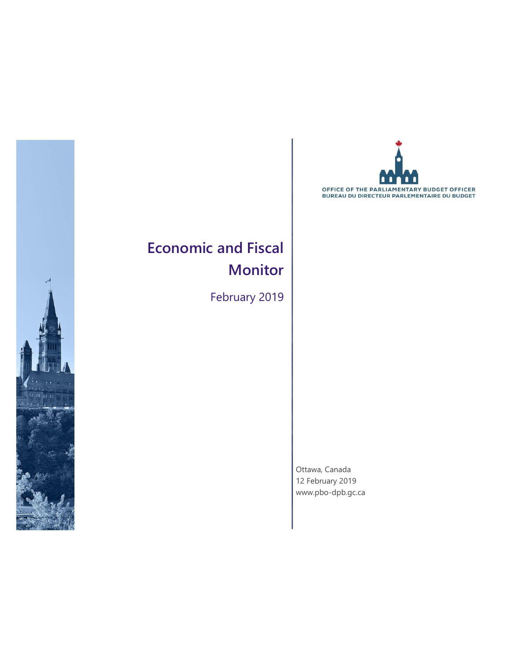



### **Economic and Fiscal Monitor**

February 2019

Ottawa, Canada 12 February 2019 [www.pbo-dpb.gc.ca](http://www.pbo-dpb.gc.ca/)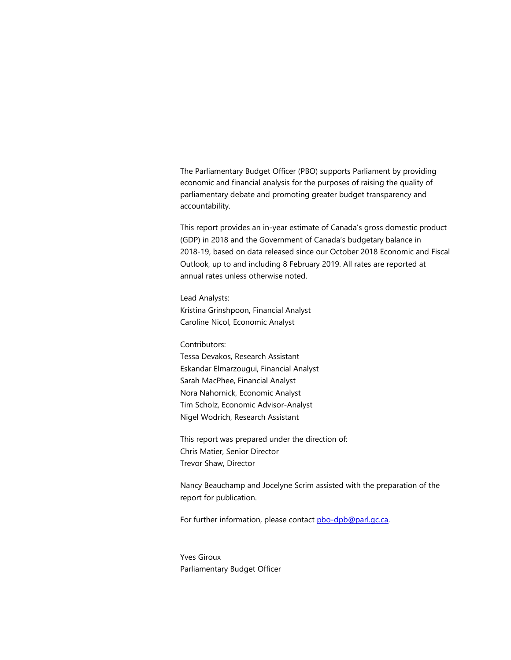The Parliamentary Budget Officer (PBO) supports Parliament by providing economic and financial analysis for the purposes of raising the quality of parliamentary debate and promoting greater budget transparency and accountability.

This report provides an in-year estimate of Canada's gross domestic product (GDP) in 2018 and the Government of Canada's budgetary balance in 2018-19, based on data released since our October 2018 Economic and Fiscal Outlook, up to and including 8 February 2019. All rates are reported at annual rates unless otherwise noted.

Lead Analysts: Kristina Grinshpoon, Financial Analyst Caroline Nicol, Economic Analyst

Contributors:

Tessa Devakos, Research Assistant Eskandar Elmarzougui, Financial Analyst Sarah MacPhee, Financial Analyst Nora Nahornick, Economic Analyst Tim Scholz, Economic Advisor-Analyst Nigel Wodrich, Research Assistant

This report was prepared under the direction of: Chris Matier, Senior Director Trevor Shaw, Director

Nancy Beauchamp and Jocelyne Scrim assisted with the preparation of the report for publication.

For further information, please contact [pbo-dpb@parl.gc.ca.](http://edrms/edrmsdav/nodes/30940947/mailto%3Apbo-dpb%40parl.gc.ca)

Yves Giroux Parliamentary Budget Officer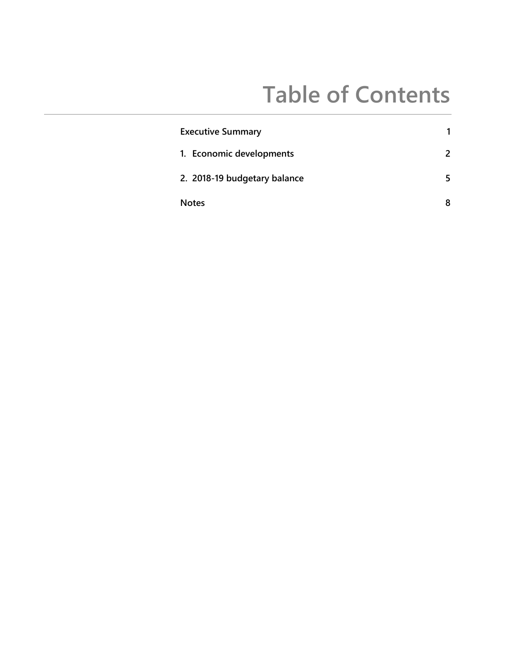# **Table of Contents**

| <b>Executive Summary</b>     | 1 |
|------------------------------|---|
| 1. Economic developments     | 2 |
| 2. 2018-19 budgetary balance | 5 |
| <b>Notes</b>                 | 8 |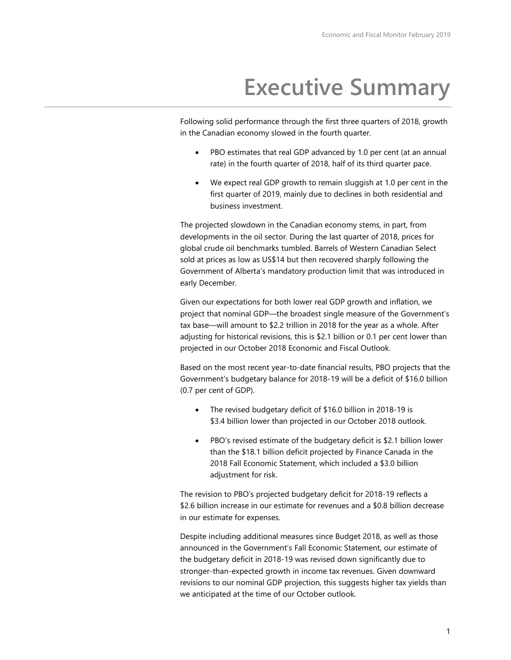## **Executive Summary**

Following solid performance through the first three quarters of 2018, growth in the Canadian economy slowed in the fourth quarter.

- PBO estimates that real GDP advanced by 1.0 per cent (at an annual rate) in the fourth quarter of 2018, half of its third quarter pace.
- We expect real GDP growth to remain sluggish at 1.0 per cent in the first quarter of 2019, mainly due to declines in both residential and business investment.

The projected slowdown in the Canadian economy stems, in part, from developments in the oil sector. During the last quarter of 2018, prices for global crude oil benchmarks tumbled. Barrels of Western Canadian Select sold at prices as low as US\$14 but then recovered sharply following the Government of Alberta's mandatory production limit that was introduced in early December.

Given our expectations for both lower real GDP growth and inflation, we project that nominal GDP—the broadest single measure of the Government's tax base—will amount to \$2.2 trillion in 2018 for the year as a whole. After adjusting for historical revisions, this is \$2.1 billion or 0.1 per cent lower than projected in our October 2018 Economic and Fiscal Outlook.

Based on the most recent year-to-date financial results, PBO projects that the Government's budgetary balance for 2018-19 will be a deficit of \$16.0 billion (0.7 per cent of GDP).

- The revised budgetary deficit of \$16.0 billion in 2018-19 is \$3.4 billion lower than projected in our October 2018 outlook.
- PBO's revised estimate of the budgetary deficit is \$2.1 billion lower than the \$18.1 billion deficit projected by Finance Canada in the 2018 Fall Economic Statement, which included a \$3.0 billion adjustment for risk.

The revision to PBO's projected budgetary deficit for 2018-19 reflects a \$2.6 billion increase in our estimate for revenues and a \$0.8 billion decrease in our estimate for expenses.

Despite including additional measures since Budget 2018, as well as those announced in the Government's Fall Economic Statement, our estimate of the budgetary deficit in 2018-19 was revised down significantly due to stronger-than-expected growth in income tax revenues. Given downward revisions to our nominal GDP projection, this suggests higher tax yields than we anticipated at the time of our October outlook.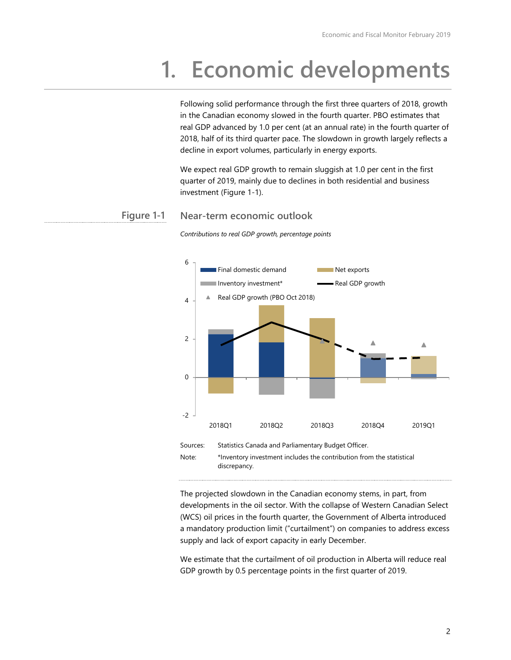# **1. Economic developments**

Following solid performance through the first three quarters of 2018, growth in the Canadian economy slowed in the fourth quarter. PBO estimates that real GDP advanced by 1.0 per cent (at an annual rate) in the fourth quarter of 2018, half of its third quarter pace. The slowdown in growth largely reflects a decline in export volumes, particularly in energy exports.

We expect real GDP growth to remain sluggish at 1.0 per cent in the first quarter of 2019, mainly due to declines in both residential and business investment (Figure 1-1).

#### **Near-term economic outlook Figure 1-1**



*Contributions to real GDP growth, percentage points*

The projected slowdown in the Canadian economy stems, in part, from developments in the oil sector. With the collapse of Western Canadian Select (WCS) oil prices in the fourth quarter, the Government of Alberta introduced a mandatory production limit ("curtailment") on companies to address excess supply and lack of export capacity in early December.

We estimate that the curtailment of oil production in Alberta will reduce real GDP growth by 0.5 percentage points in the first quarter of 2019.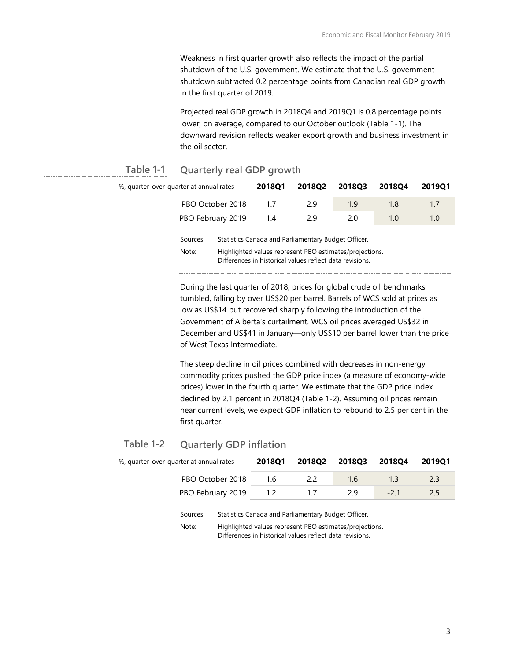Weakness in first quarter growth also reflects the impact of the partial shutdown of the U.S. government. We estimate that the U.S. government shutdown subtracted 0.2 percentage points from Canadian real GDP growth in the first quarter of 2019.

Projected real GDP growth in 2018Q4 and 2019Q1 is 0.8 percentage points lower, on average, compared to our October outlook (Table 1-1). The downward revision reflects weaker export growth and business investment in the oil sector.

#### **Quarterly real GDP growth Table 1-1**

| %, quarter-over-quarter at annual rates | 2018Q1                                                                                                                                                                                                                                                                                                                                                             | 2018Q2 | 2018Q3 | 2018Q4 | 2019Q1 |
|-----------------------------------------|--------------------------------------------------------------------------------------------------------------------------------------------------------------------------------------------------------------------------------------------------------------------------------------------------------------------------------------------------------------------|--------|--------|--------|--------|
| PBO October 2018                        | 1.7                                                                                                                                                                                                                                                                                                                                                                | 29     | 1.9    | 1.8    | 1.7    |
| PBO February 2019                       | 1.4                                                                                                                                                                                                                                                                                                                                                                | 2.9    | 2.0    | 1.0    | 1.0    |
| Sources:                                | Statistics Canada and Parliamentary Budget Officer.<br>$\mathbf{r}$ , $\mathbf{r}$ , $\mathbf{r}$ , $\mathbf{r}$ , $\mathbf{r}$ , $\mathbf{r}$ , $\mathbf{r}$ , $\mathbf{r}$ , $\mathbf{r}$ , $\mathbf{r}$ , $\mathbf{r}$ , $\mathbf{r}$ , $\mathbf{r}$ , $\mathbf{r}$ , $\mathbf{r}$ , $\mathbf{r}$ , $\mathbf{r}$ , $\mathbf{r}$ , $\mathbf{r}$ , $\mathbf{r}$ , |        |        |        |        |

Note: Highlighted values represent PBO estimates/projections. Differences in historical values reflect data revisions.

During the last quarter of 2018, prices for global crude oil benchmarks tumbled, falling by over US\$20 per barrel. Barrels of WCS sold at prices as low as US\$14 but recovered sharply following the introduction of the Government of Alberta's curtailment. WCS oil prices averaged US\$32 in December and US\$41 in January—only US\$10 per barrel lower than the price of West Texas Intermediate.

The steep decline in oil prices combined with decreases in non-energy commodity prices pushed the GDP price index (a measure of economy-wide prices) lower in the fourth quarter. We estimate that the GDP price index declined by 2.1 percent in 2018Q4 (Table 1-2). Assuming oil prices remain near current levels, we expect GDP inflation to rebound to 2.5 per cent in the first quarter.

#### **Quarterly GDP inflation Table 1-2**

| %, quarter-over-quarter at annual rates |                   |     | <b>2018Q1</b> | 201802                                                                                                                                                                     | 201803 | 201804 | 2019Q1 |
|-----------------------------------------|-------------------|-----|---------------|----------------------------------------------------------------------------------------------------------------------------------------------------------------------------|--------|--------|--------|
|                                         | PBO October 2018  |     | 1.6           | 2.2                                                                                                                                                                        | 1.6    | 1.3    | 2.3    |
| PBO February 2019                       |                   | 1.2 | 1.7           | 2.9                                                                                                                                                                        | $-2.1$ | 2.5    |        |
|                                         | Sources:<br>Note: |     |               | Statistics Canada and Parliamentary Budget Officer.<br>Highlighted values represent PBO estimates/projections.<br>Differences in historical values reflect data revisions. |        |        |        |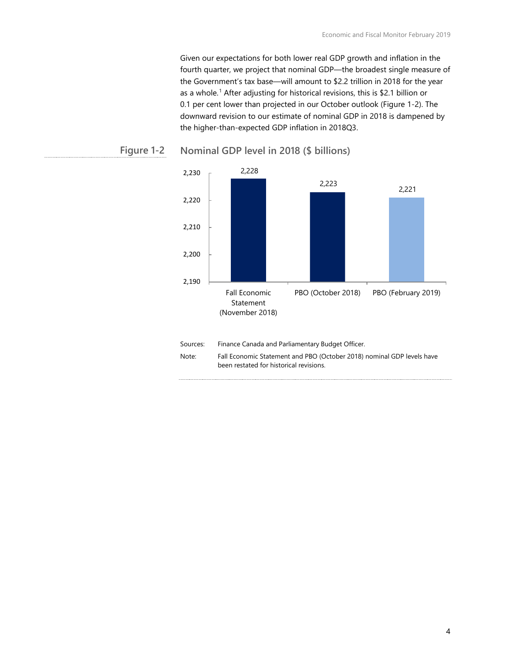Given our expectations for both lower real GDP growth and inflation in the fourth quarter, we project that nominal GDP—the broadest single measure of the Government's tax base—will amount to \$2.2 trillion in 2018 for the year as a whole.<sup>[1](#page-10-0)</sup> After adjusting for historical revisions, this is \$2.1 billion or 0.1 per cent lower than projected in our October outlook (Figure 1-2). The downward revision to our estimate of nominal GDP in 2018 is dampened by the higher-than-expected GDP inflation in 2018Q3.



#### **Nominal GDP level in 2018 (\$ billions) Figure 1-2**

| Sources: | Finance Canada and Parliamentary Budget Officer.                                                                  |
|----------|-------------------------------------------------------------------------------------------------------------------|
| Note:    | Fall Economic Statement and PBO (October 2018) nominal GDP levels have<br>been restated for historical revisions. |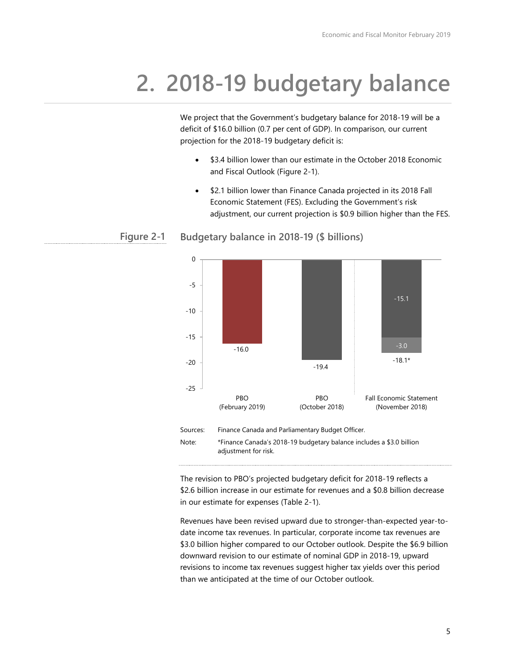# **2. 2018-19 budgetary balance**

We project that the Government's budgetary balance for 2018-19 will be a deficit of \$16.0 billion (0.7 per cent of GDP). In comparison, our current projection for the 2018-19 budgetary deficit is:

- \$3.4 billion lower than our estimate in the October 2018 Economic and Fiscal Outlook (Figure 2-1).
- \$2.1 billion lower than Finance Canada projected in its 2018 Fall Economic Statement (FES). Excluding the Government's risk adjustment, our current projection is \$0.9 billion higher than the FES.



#### **Budgetary balance in 2018-19 (\$ billions) Figure 2-1**

The revision to PBO's projected budgetary deficit for 2018-19 reflects a \$2.6 billion increase in our estimate for revenues and a \$0.8 billion decrease in our estimate for expenses (Table 2-1).

Revenues have been revised upward due to stronger-than-expected year-todate income tax revenues. In particular, corporate income tax revenues are \$3.0 billion higher compared to our October outlook. Despite the \$6.9 billion downward revision to our estimate of nominal GDP in 2018-19, upward revisions to income tax revenues suggest higher tax yields over this period than we anticipated at the time of our October outlook.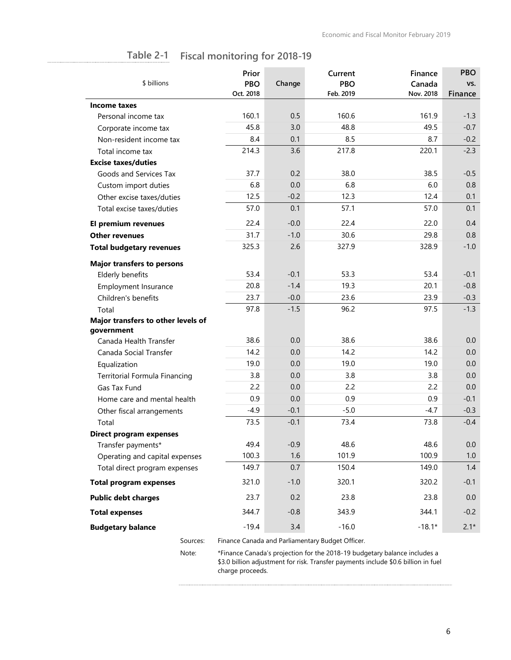| \$ billions                        | Prior<br><b>PBO</b> | Change | Current<br><b>PBO</b> | Finance<br>Canada | <b>PBO</b><br>VS. |
|------------------------------------|---------------------|--------|-----------------------|-------------------|-------------------|
|                                    | Oct. 2018           |        | Feb. 2019             | Nov. 2018         | Finance           |
| Income taxes                       |                     |        |                       |                   |                   |
| Personal income tax                | 160.1               | 0.5    | 160.6                 | 161.9             | $-1.3$            |
| Corporate income tax               | 45.8                | 3.0    | 48.8                  | 49.5              | $-0.7$            |
| Non-resident income tax            | 8.4                 | 0.1    | 8.5                   | 8.7               | $-0.2$            |
| Total income tax                   | 214.3               | 3.6    | 217.8                 | 220.1             | $-2.3$            |
| <b>Excise taxes/duties</b>         |                     |        |                       |                   |                   |
| Goods and Services Tax             | 37.7                | 0.2    | 38.0                  | 38.5              | $-0.5$            |
| Custom import duties               | 6.8                 | 0.0    | 6.8                   | 6.0               | 0.8               |
| Other excise taxes/duties          | 12.5                | $-0.2$ | 12.3                  | 12.4              | 0.1               |
| Total excise taxes/duties          | 57.0                | 0.1    | 57.1                  | 57.0              | 0.1               |
| El premium revenues                | 22.4                | $-0.0$ | 22.4                  | 22.0              | 0.4               |
| <b>Other revenues</b>              | 31.7                | $-1.0$ | 30.6                  | 29.8              | 0.8               |
| <b>Total budgetary revenues</b>    | 325.3               | 2.6    | 327.9                 | 328.9             | $-1.0$            |
| <b>Major transfers to persons</b>  |                     |        |                       |                   |                   |
| Elderly benefits                   | 53.4                | $-0.1$ | 53.3                  | 53.4              | $-0.1$            |
| Employment Insurance               | 20.8                | $-1.4$ | 19.3                  | 20.1              | $-0.8$            |
| Children's benefits                | 23.7                | $-0.0$ | 23.6                  | 23.9              | $-0.3$            |
| Total                              | 97.8                | $-1.5$ | 96.2                  | 97.5              | $-1.3$            |
| Major transfers to other levels of |                     |        |                       |                   |                   |
| government                         |                     |        |                       |                   |                   |
| Canada Health Transfer             | 38.6                | 0.0    | 38.6                  | 38.6              | 0.0               |
| Canada Social Transfer             | 14.2                | 0.0    | 14.2                  | 14.2              | 0.0               |
| Equalization                       | 19.0                | 0.0    | 19.0                  | 19.0              | 0.0               |
| Territorial Formula Financing      | 3.8                 | 0.0    | 3.8                   | 3.8               | 0.0               |
| Gas Tax Fund                       | 2.2                 | 0.0    | 2.2                   | 2.2               | 0.0               |
| Home care and mental health        | 0.9                 | 0.0    | 0.9                   | 0.9               | $-0.1$            |
| Other fiscal arrangements          | $-4.9$              | $-0.1$ | $-5.0$                | $-4.7$            | $-0.3$            |
| Total                              | 73.5                | $-0.1$ | 73.4                  | 73.8              | $-0.4$            |
| <b>Direct program expenses</b>     |                     |        |                       |                   |                   |
| Transfer payments*                 | 49.4                | $-0.9$ | 48.6                  | 48.6              | 0.0               |
| Operating and capital expenses     | 100.3               | 1.6    | 101.9                 | 100.9             | 1.0               |
| Total direct program expenses      | 149.7               | 0.7    | 150.4                 | 149.0             | 1.4               |
| <b>Total program expenses</b>      | 321.0               | $-1.0$ | 320.1                 | 320.2             | $-0.1$            |
| <b>Public debt charges</b>         | 23.7                | 0.2    | 23.8                  | 23.8              | 0.0               |
| <b>Total expenses</b>              | 344.7               | $-0.8$ | 343.9                 | 344.1             | $-0.2$            |
| <b>Budgetary balance</b>           | $-19.4$             | 3.4    | $-16.0$               | $-18.1*$          | $2.1*$            |

#### **Fiscal monitoring for 2018-19 Table 2-1**

Sources: Finance Canada and Parliamentary Budget Officer.

Note: \*Finance Canada's projection for the 2018-19 budgetary balance includes a \$3.0 billion adjustment for risk. Transfer payments include \$0.6 billion in fuel charge proceeds.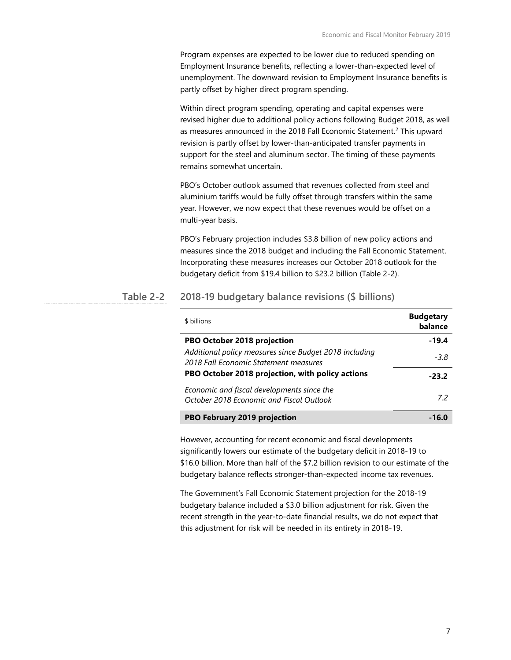Program expenses are expected to be lower due to reduced spending on Employment Insurance benefits, reflecting a lower-than-expected level of unemployment. The downward revision to Employment Insurance benefits is partly offset by higher direct program spending.

Within direct program spending, operating and capital expenses were revised higher due to additional policy actions following Budget 2018, as well as measures announced in the [2](#page-10-1)018 Fall Economic Statement.<sup>2</sup> This upward revision is partly offset by lower-than-anticipated transfer payments in support for the steel and aluminum sector. The timing of these payments remains somewhat uncertain.

PBO's October outlook assumed that revenues collected from steel and aluminium tariffs would be fully offset through transfers within the same year. However, we now expect that these revenues would be offset on a multi-year basis.

PBO's February projection includes \$3.8 billion of new policy actions and measures since the 2018 budget and including the Fall Economic Statement. Incorporating these measures increases our October 2018 outlook for the budgetary deficit from \$19.4 billion to \$23.2 billion (Table 2-2).

#### **2018-19 budgetary balance revisions (\$ billions) Table 2-2**

| \$ billions                                                                                     | <b>Budgetary</b><br>balance |
|-------------------------------------------------------------------------------------------------|-----------------------------|
| PBO October 2018 projection                                                                     | $-19.4$                     |
| Additional policy measures since Budget 2018 including<br>2018 Fall Economic Statement measures | $-3.8$                      |
| PBO October 2018 projection, with policy actions                                                | $-23.2$                     |
| Economic and fiscal developments since the<br>October 2018 Economic and Fiscal Outlook          | 72                          |
| <b>PBO February 2019 projection</b>                                                             | -16.0                       |

However, accounting for recent economic and fiscal developments significantly lowers our estimate of the budgetary deficit in 2018-19 to \$16.0 billion. More than half of the \$7.2 billion revision to our estimate of the budgetary balance reflects stronger-than-expected income tax revenues.

The Government's Fall Economic Statement projection for the 2018-19 budgetary balance included a \$3.0 billion adjustment for risk. Given the recent strength in the year-to-date financial results, we do not expect that this adjustment for risk will be needed in its entirety in 2018-19.